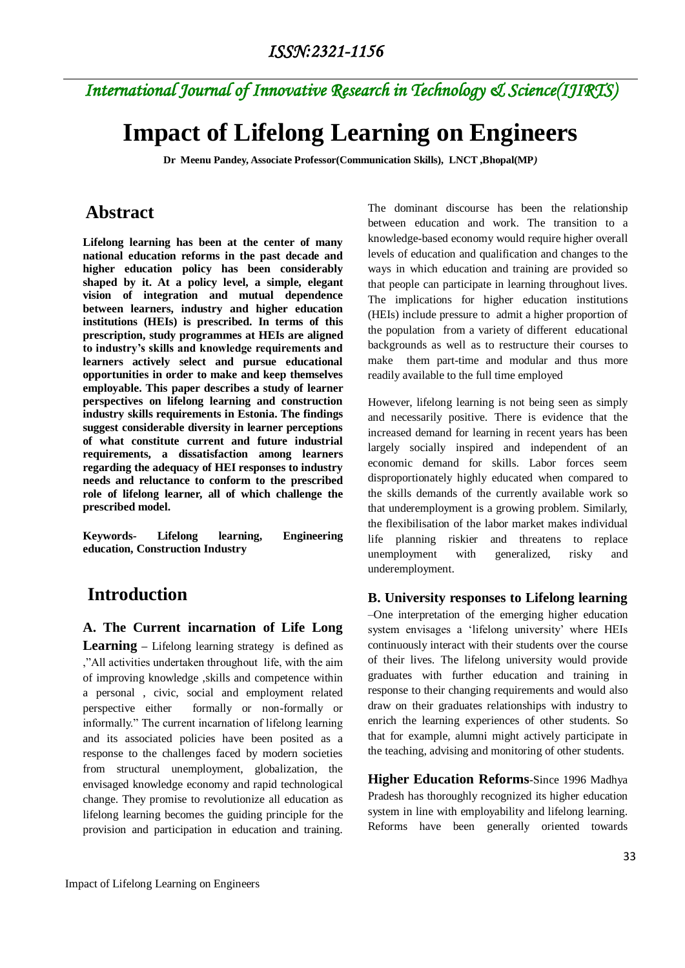# **Impact of Lifelong Learning on Engineers**

**Dr Meenu Pandey, Associate Professor(Communication Skills), LNCT ,Bhopal(MP***)*

## **Abstract**

**Lifelong learning has been at the center of many national education reforms in the past decade and higher education policy has been considerably shaped by it. At a policy level, a simple, elegant vision of integration and mutual dependence between learners, industry and higher education institutions (HEIs) is prescribed. In terms of this prescription, study programmes at HEIs are aligned to industry's skills and knowledge requirements and learners actively select and pursue educational opportunities in order to make and keep themselves employable. This paper describes a study of learner perspectives on lifelong learning and construction industry skills requirements in Estonia. The findings suggest considerable diversity in learner perceptions of what constitute current and future industrial requirements, a dissatisfaction among learners regarding the adequacy of HEI responses to industry needs and reluctance to conform to the prescribed role of lifelong learner, all of which challenge the prescribed model.**

**Keywords- Lifelong learning, Engineering education, Construction Industry**

## **Introduction**

**A. The Current incarnation of Life Long Learning –** Lifelong learning strategy is defined as ,"All activities undertaken throughout life, with the aim of improving knowledge ,skills and competence within a personal , civic, social and employment related perspective either formally or non-formally or informally." The current incarnation of lifelong learning and its associated policies have been posited as a response to the challenges faced by modern societies from structural unemployment, globalization, the envisaged knowledge economy and rapid technological change. They promise to revolutionize all education as lifelong learning becomes the guiding principle for the provision and participation in education and training.

The dominant discourse has been the relationship between education and work. The transition to a knowledge-based economy would require higher overall levels of education and qualification and changes to the ways in which education and training are provided so that people can participate in learning throughout lives. The implications for higher education institutions (HEIs) include pressure to admit a higher proportion of the population from a variety of different educational backgrounds as well as to restructure their courses to make them part-time and modular and thus more readily available to the full time employed

However, lifelong learning is not being seen as simply and necessarily positive. There is evidence that the increased demand for learning in recent years has been largely socially inspired and independent of an economic demand for skills. Labor forces seem disproportionately highly educated when compared to the skills demands of the currently available work so that underemployment is a growing problem. Similarly, the flexibilisation of the labor market makes individual life planning riskier and threatens to replace unemployment with generalized, risky and underemployment.

### **B. University responses to Lifelong learning**

–One interpretation of the emerging higher education system envisages a 'lifelong university' where HEIs continuously interact with their students over the course of their lives. The lifelong university would provide graduates with further education and training in response to their changing requirements and would also draw on their graduates relationships with industry to enrich the learning experiences of other students. So that for example, alumni might actively participate in the teaching, advising and monitoring of other students.

**Higher Education Reforms**-Since 1996 Madhya Pradesh has thoroughly recognized its higher education system in line with employability and lifelong learning. Reforms have been generally oriented towards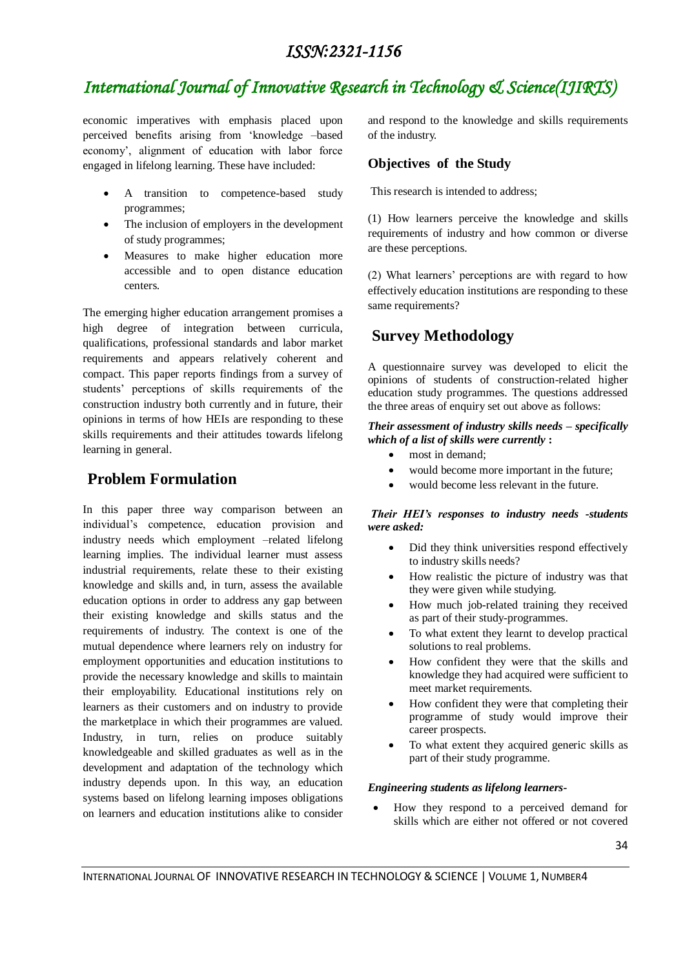## *ISSN:2321-1156*

# *International Journal of Innovative Research in Technology & Science(IJIRTS)*

economic imperatives with emphasis placed upon perceived benefits arising from "knowledge –based economy", alignment of education with labor force engaged in lifelong learning. These have included:

- A transition to competence-based study programmes;
- The inclusion of employers in the development of study programmes;
- Measures to make higher education more accessible and to open distance education centers.

The emerging higher education arrangement promises a high degree of integration between curricula, qualifications, professional standards and labor market requirements and appears relatively coherent and compact. This paper reports findings from a survey of students" perceptions of skills requirements of the construction industry both currently and in future, their opinions in terms of how HEIs are responding to these skills requirements and their attitudes towards lifelong learning in general.

### **Problem Formulation**

In this paper three way comparison between an individual"s competence, education provision and industry needs which employment –related lifelong learning implies. The individual learner must assess industrial requirements, relate these to their existing knowledge and skills and, in turn, assess the available education options in order to address any gap between their existing knowledge and skills status and the requirements of industry. The context is one of the mutual dependence where learners rely on industry for employment opportunities and education institutions to provide the necessary knowledge and skills to maintain their employability. Educational institutions rely on learners as their customers and on industry to provide the marketplace in which their programmes are valued. Industry, in turn, relies on produce suitably knowledgeable and skilled graduates as well as in the development and adaptation of the technology which industry depends upon. In this way, an education systems based on lifelong learning imposes obligations on learners and education institutions alike to consider

and respond to the knowledge and skills requirements of the industry.

### **Objectives of the Study**

This research is intended to address;

(1) How learners perceive the knowledge and skills requirements of industry and how common or diverse are these perceptions.

(2) What learners" perceptions are with regard to how effectively education institutions are responding to these same requirements?

## **Survey Methodology**

A questionnaire survey was developed to elicit the opinions of students of construction-related higher education study programmes. The questions addressed the three areas of enquiry set out above as follows:

#### *Their assessment of industry skills needs – specifically which of a list of skills were currently* **:**

- most in demand;
- would become more important in the future;
- would become less relevant in the future.

#### *Their HEI's responses to industry needs -students were asked:*

- Did they think universities respond effectively to industry skills needs?
- How realistic the picture of industry was that they were given while studying.
- How much job-related training they received as part of their study-programmes.
- To what extent they learnt to develop practical solutions to real problems.
- How confident they were that the skills and knowledge they had acquired were sufficient to meet market requirements.
- How confident they were that completing their programme of study would improve their career prospects.
- To what extent they acquired generic skills as part of their study programme.

#### *Engineering students as lifelong learners-*

 How they respond to a perceived demand for skills which are either not offered or not covered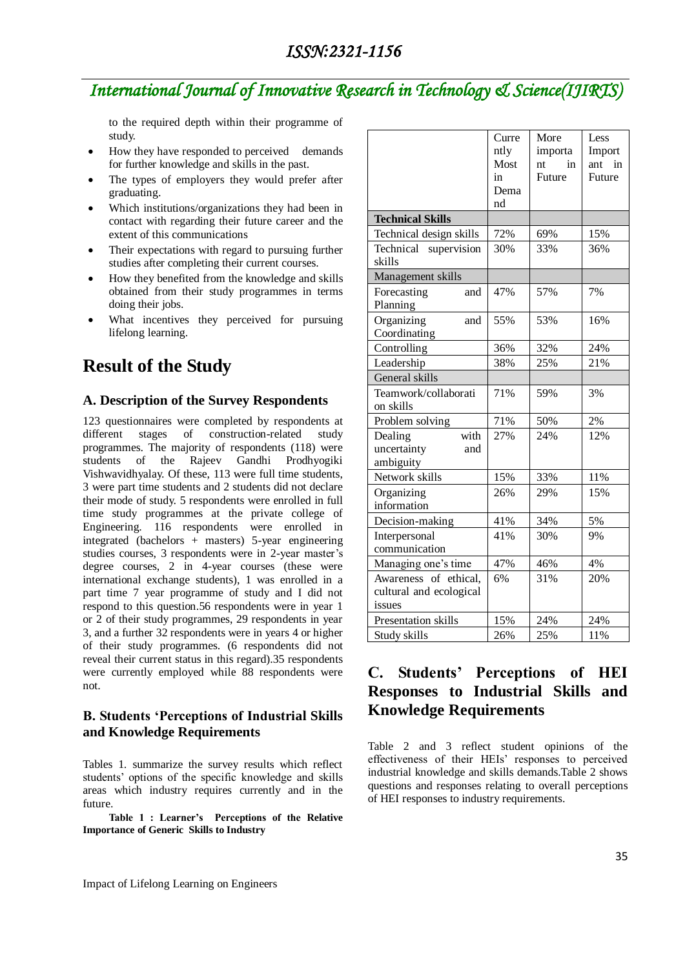to the required depth within their programme of study.

- How they have responded to perceived demands for further knowledge and skills in the past.
- The types of employers they would prefer after graduating.
- Which institutions/organizations they had been in contact with regarding their future career and the extent of this communications
- Their expectations with regard to pursuing further studies after completing their current courses.
- How they benefited from the knowledge and skills obtained from their study programmes in terms doing their jobs.
- What incentives they perceived for pursuing lifelong learning.

## **Result of the Study**

### **A. Description of the Survey Respondents**

123 questionnaires were completed by respondents at different stages of construction-related study programmes. The majority of respondents (118) were students of the Rajeev Gandhi Prodhyogiki Vishwavidhyalay. Of these, 113 were full time students, 3 were part time students and 2 students did not declare their mode of study. 5 respondents were enrolled in full time study programmes at the private college of Engineering. 116 respondents were enrolled in integrated (bachelors + masters) 5-year engineering studies courses, 3 respondents were in 2-year master's degree courses, 2 in 4-year courses (these were international exchange students), 1 was enrolled in a part time 7 year programme of study and I did not respond to this question.56 respondents were in year 1 or 2 of their study programmes, 29 respondents in year 3, and a further 32 respondents were in years 4 or higher of their study programmes. (6 respondents did not reveal their current status in this regard).35 respondents were currently employed while 88 respondents were not.

### **B. Students 'Perceptions of Industrial Skills and Knowledge Requirements**

Tables 1. summarize the survey results which reflect students" options of the specific knowledge and skills areas which industry requires currently and in the future.

 **Table 1 : Learner's Perceptions of the Relative Importance of Generic Skills to Industry**

|                                                            | Curre<br>ntly<br>Most | More<br>importa<br>in<br>nt | Less<br>Import<br>ant<br>in |
|------------------------------------------------------------|-----------------------|-----------------------------|-----------------------------|
|                                                            | in                    | Future                      | Future                      |
|                                                            | Dema                  |                             |                             |
|                                                            | nd                    |                             |                             |
| <b>Technical Skills</b>                                    |                       |                             |                             |
| Technical design skills                                    | 72%                   | 69%                         | 15%                         |
| Technical supervision<br>skills                            | 30%                   | 33%                         | 36%                         |
| Management skills                                          |                       |                             |                             |
| Forecasting<br>and<br>Planning                             | 47%                   | 57%                         | 7%                          |
| Organizing<br>and<br>Coordinating                          | 55%                   | 53%                         | 16%                         |
| Controlling                                                | 36%                   | 32%                         | 24%                         |
| Leadership                                                 | 38%                   | 25%                         | 21%                         |
| General skills                                             |                       |                             |                             |
| Teamwork/collaborati<br>on skills                          | 71%                   | 59%                         | 3%                          |
| Problem solving                                            | 71%                   | 50%                         | 2%                          |
| with<br>Dealing<br>uncertainty<br>and<br>ambiguity         | 27%                   | 24%                         | 12%                         |
| Network skills                                             | 15%                   | 33%                         | 11%                         |
| Organizing<br>information                                  | 26%                   | 29%                         | 15%                         |
| Decision-making                                            | 41%                   | 34%                         | 5%                          |
| Interpersonal<br>communication                             | 41%                   | 30%                         | 9%                          |
| Managing one's time                                        | 47%                   | 46%                         | 4%                          |
| Awareness of ethical,<br>cultural and ecological<br>issues | 6%                    | 31%                         | 20%                         |
| Presentation skills                                        | 15%                   | 24%                         | 24%                         |
| Study skills                                               | 26%                   | 25%                         | 11%                         |

### **C. Students' Perceptions of HEI Responses to Industrial Skills and Knowledge Requirements**

Table 2 and 3 reflect student opinions of the effectiveness of their HEIs" responses to perceived industrial knowledge and skills demands.Table 2 shows questions and responses relating to overall perceptions of HEI responses to industry requirements.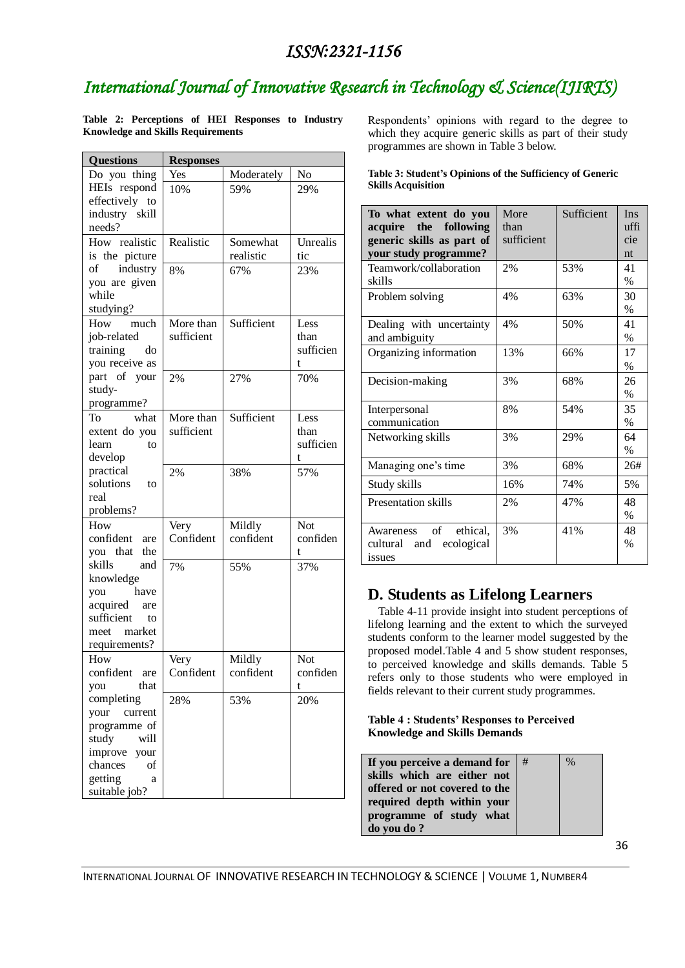## *ISSN:2321-1156*

# *International Journal of Innovative Research in Technology & Science(IJIRTS)*

**Table 2: Perceptions of HEI Responses to Industry Knowledge and Skills Requirements**

| <b>Questions</b>       | <b>Responses</b> |            |            |  |  |
|------------------------|------------------|------------|------------|--|--|
| Do you thing           | Yes              | Moderately | No         |  |  |
| HEIs respond           | 10%              | 59%        | 29%        |  |  |
| effectively to         |                  |            |            |  |  |
| industry skill         |                  |            |            |  |  |
| needs?                 |                  |            |            |  |  |
| How realistic          | Realistic        | Somewhat   | Unrealis   |  |  |
| is the picture         |                  | realistic  | tic        |  |  |
| $\sigma$<br>industry   | 8%               | 67%        | 23%        |  |  |
| you are given          |                  |            |            |  |  |
| while                  |                  |            |            |  |  |
| studying?              |                  |            |            |  |  |
| How<br>much            | More than        | Sufficient | Less       |  |  |
| job-related            | sufficient       |            | than       |  |  |
| training<br>do         |                  |            | sufficien  |  |  |
| you receive as         |                  |            | t          |  |  |
| part of your           | 2%               | 27%        | 70%        |  |  |
| study-                 |                  |            |            |  |  |
| programme?             |                  |            |            |  |  |
| To<br>what             | More than        | Sufficient | Less       |  |  |
| extent do you          | sufficient       |            | than       |  |  |
| learn<br>to            |                  |            | sufficien  |  |  |
| develop                |                  |            | t          |  |  |
| practical              | 2%               | 38%        | 57%        |  |  |
| solutions<br>to        |                  |            |            |  |  |
| real                   |                  |            |            |  |  |
| problems?              |                  |            |            |  |  |
| How                    | Very             | Mildly     | <b>Not</b> |  |  |
| confident<br>are       | Confident        | confident  | confiden   |  |  |
| you that<br>the        |                  |            | t          |  |  |
| skills<br>and          | 7%               | 55%        | 37%        |  |  |
| knowledge<br>have      |                  |            |            |  |  |
| you<br>acquired<br>are |                  |            |            |  |  |
| sufficient<br>to       |                  |            |            |  |  |
| meet market            |                  |            |            |  |  |
| requirements?          |                  |            |            |  |  |
| How                    | Very             | Mildly     | Not        |  |  |
| confident<br>are       | Confident        | confident  | confiden   |  |  |
| that<br>you            |                  |            | t          |  |  |
| completing             | 28%              | 53%        | 20%        |  |  |
| your<br>current        |                  |            |            |  |  |
| programme of           |                  |            |            |  |  |
| study<br>will          |                  |            |            |  |  |
| improve your           |                  |            |            |  |  |
| chances<br>of          |                  |            |            |  |  |
| getting<br>a           |                  |            |            |  |  |
| suitable job?          |                  |            |            |  |  |

Respondents" opinions with regard to the degree to which they acquire generic skills as part of their study programmes are shown in Table 3 below.

| Table 3: Student's Opinions of the Sufficiency of Generic |  |  |
|-----------------------------------------------------------|--|--|
| <b>Skills Acquisition</b>                                 |  |  |

| To what extent do you<br>the following<br>acquire<br>generic skills as part of<br>your study programme? | More<br>than<br>sufficient | Sufficient | Ins<br>uffi<br>cie<br>nt |
|---------------------------------------------------------------------------------------------------------|----------------------------|------------|--------------------------|
| Teamwork/collaboration<br>skills                                                                        | 2%                         | 53%        | 41<br>$\%$               |
| Problem solving                                                                                         | 4%                         | 63%        | 30<br>$\%$               |
| Dealing with uncertainty<br>and ambiguity                                                               | 4%                         | 50%        | 41<br>$\%$               |
| Organizing information                                                                                  | 13%                        | 66%        | 17<br>$\%$               |
| Decision-making                                                                                         | 3%                         | 68%        | 26<br>$\%$               |
| Interpersonal<br>communication                                                                          | 8%                         | 54%        | 35<br>$\%$               |
| Networking skills                                                                                       | 3%                         | 29%        | 64<br>$\%$               |
| Managing one's time                                                                                     | 3%                         | 68%        | 26#                      |
| Study skills                                                                                            | 16%                        | 74%        | 5%                       |
| Presentation skills                                                                                     | 2%                         | 47%        | 48<br>$\%$               |
| Awareness of ethical,<br>cultural and ecological<br>issues                                              | 3%                         | 41%        | 48<br>$\%$               |

### **D. Students as Lifelong Learners**

Table 4-11 provide insight into student perceptions of lifelong learning and the extent to which the surveyed students conform to the learner model suggested by the proposed model.Table 4 and 5 show student responses, to perceived knowledge and skills demands. Table 5 refers only to those students who were employed in fields relevant to their current study programmes.

### **Table 4 : Students' Responses to Perceived Knowledge and Skills Demands**

| If you perceive a demand for $ #$ |  |
|-----------------------------------|--|
| skills which are either not       |  |
| offered or not covered to the     |  |
| required depth within your        |  |
| programme of study what           |  |
| do you do?                        |  |

 $\frac{9}{6}$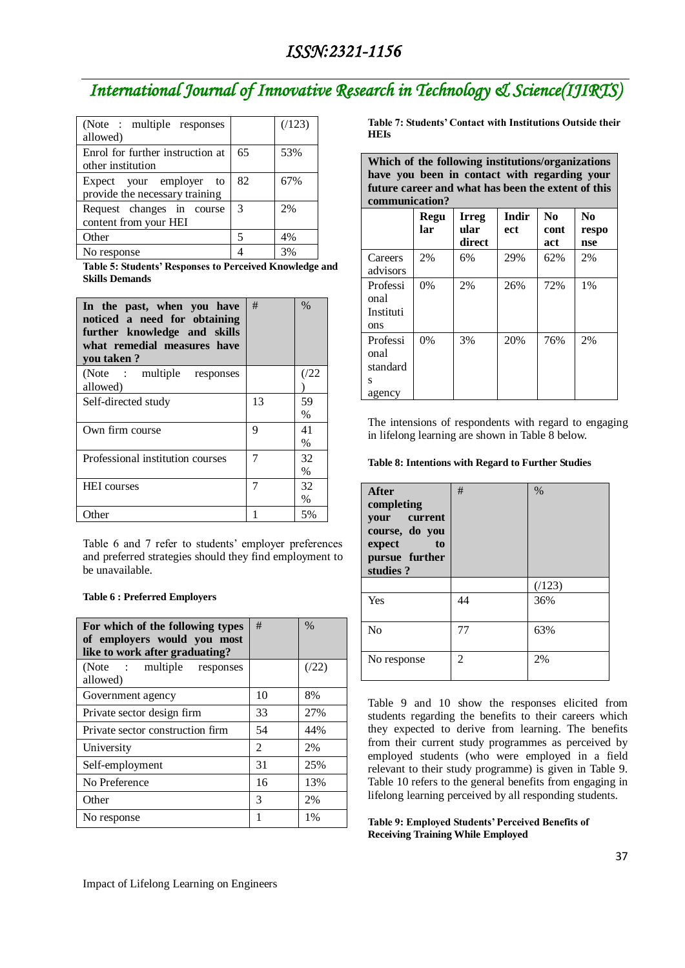| (Note : multiple responses)<br>allowed)                   |    | (123) |
|-----------------------------------------------------------|----|-------|
| Enrol for further instruction at<br>other institution     | 65 | 53%   |
| Expect your employer to<br>provide the necessary training | 82 | 67%   |
| Request changes in course<br>content from your HEI        | 3  | 2%    |
| Other                                                     | 5  | 4%    |
| No response                                               |    | 3%    |

**Table 5: Students' Responses to Perceived Knowledge and Skills Demands**

| In the past, when you have<br>noticed a need for obtaining<br>further knowledge and skills<br>what remedial measures have<br>you taken? | #  | $\%$       |
|-----------------------------------------------------------------------------------------------------------------------------------------|----|------------|
| (Note : multiple responses<br>allowed)                                                                                                  |    | (/22       |
| Self-directed study                                                                                                                     | 13 | 59<br>%    |
| Own firm course                                                                                                                         | 9  | 41<br>$\%$ |
| Professional institution courses                                                                                                        | 7  | 32<br>$\%$ |
| <b>HEI</b> courses                                                                                                                      | 7  | 32<br>%    |
| .)ther                                                                                                                                  |    | 5%         |

Table 6 and 7 refer to students' employer preferences and preferred strategies should they find employment to be unavailable.

#### **Table 6 : Preferred Employers**

| For which of the following types<br>of employers would you most<br>like to work after graduating? | #              | $\%$ |
|---------------------------------------------------------------------------------------------------|----------------|------|
| (Note : multiple<br>responses<br>allowed)                                                         |                | (22) |
| Government agency                                                                                 | 10             | 8%   |
| Private sector design firm                                                                        | 33             | 27%  |
| Private sector construction firm                                                                  | 54             | 44%  |
| University                                                                                        | $\mathfrak{D}$ | 2%   |
| Self-employment                                                                                   | 31             | 25%  |
| No Preference                                                                                     | 16             | 13%  |
| Other                                                                                             | 3              | 2%   |
| No response                                                                                       |                | 1%   |

**Table 7: Students' Contact with Institutions Outside their HEIs**

**Which of the following institutions/organizations have you been in contact with regarding your future career and what has been the extent of this communication?**

|                                             | Regu<br>lar | <b>Irreg</b><br>ular<br>direct | <b>Indir</b><br>ect | No<br>cont<br>act | N <sub>0</sub><br>respo<br>nse |
|---------------------------------------------|-------------|--------------------------------|---------------------|-------------------|--------------------------------|
| Careers<br>advisors                         | 2%          | 6%                             | 29%                 | 62%               | 2%                             |
| Professi<br>onal<br>Instituti<br>ons        | 0%          | 2%                             | 26%                 | 72%               | $1\%$                          |
| Professi<br>onal<br>standard<br>S<br>agency | 0%          | 3%                             | 20%                 | 76%               | 2%                             |

The intensions of respondents with regard to engaging in lifelong learning are shown in Table 8 below.

#### **Table 8: Intentions with Regard to Further Studies**

| After<br>completing<br>current<br>your<br>course, do you<br>expect<br>to<br>pursue further<br>studies? | #  | $\%$  |
|--------------------------------------------------------------------------------------------------------|----|-------|
|                                                                                                        |    | (123) |
| Yes                                                                                                    | 44 | 36%   |
| No                                                                                                     | 77 | 63%   |
| No response                                                                                            | 2  | 2%    |

Table 9 and 10 show the responses elicited from students regarding the benefits to their careers which they expected to derive from learning. The benefits from their current study programmes as perceived by employed students (who were employed in a field relevant to their study programme) is given in Table 9. Table 10 refers to the general benefits from engaging in lifelong learning perceived by all responding students.

**Table 9: Employed Students' Perceived Benefits of Receiving Training While Employed**

#### Impact of Lifelong Learning on Engineers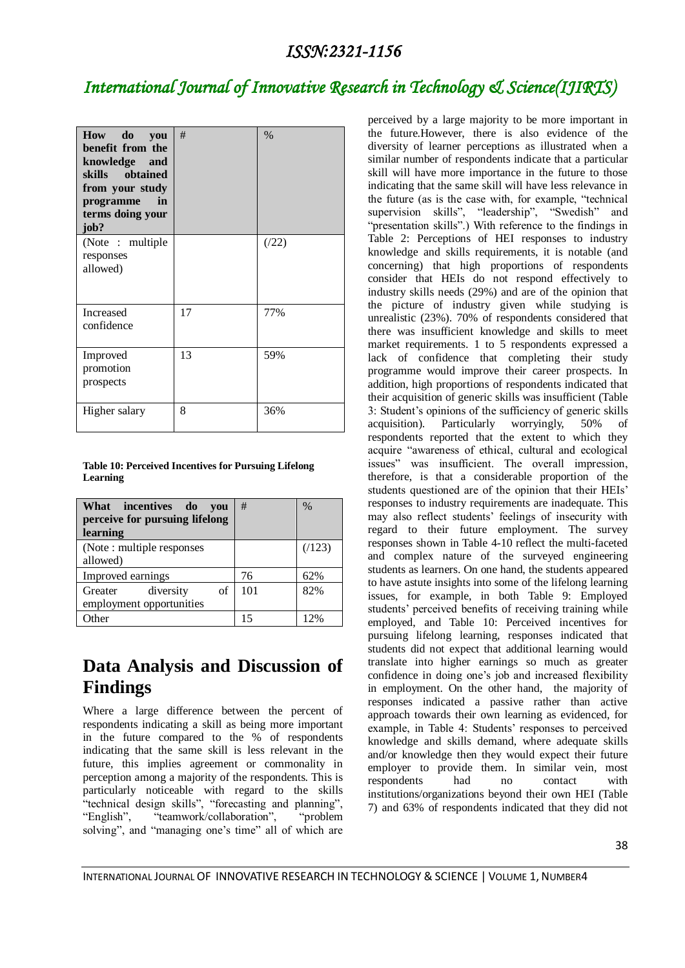| How do<br>vou<br>benefit from the<br>knowledge and<br>skills obtained<br>from your study<br>programme<br>in<br>terms doing your<br>job? | #  | $\%$ |
|-----------------------------------------------------------------------------------------------------------------------------------------|----|------|
| (Note: multiple)<br>responses<br>allowed)                                                                                               |    | (22) |
| Increased<br>confidence                                                                                                                 | 17 | 77%  |
| Improved<br>promotion<br>prospects                                                                                                      | 13 | 59%  |
| Higher salary                                                                                                                           | 8  | 36%  |

#### **Table 10: Perceived Incentives for Pursuing Lifelong Learning**

| What incentives do<br>vou<br>perceive for pursuing lifelong<br>learning | #   | $\%$  |
|-------------------------------------------------------------------------|-----|-------|
| (Note: multiple responses)<br>allowed)                                  |     | (123) |
| Improved earnings                                                       | 76  | 62%   |
| diversity<br>of<br>Greater<br>employment opportunities                  | 101 | 82%   |
| <b>Other</b>                                                            | 15  | 12%   |

## **Data Analysis and Discussion of Findings**

Where a large difference between the percent of respondents indicating a skill as being more important in the future compared to the % of respondents indicating that the same skill is less relevant in the future, this implies agreement or commonality in perception among a majority of the respondents. This is particularly noticeable with regard to the skills "technical design skills", "forecasting and planning", "English". "teamwork/collaboration", "problem "teamwork/collaboration", "problem" solving", and "managing one's time" all of which are

perceived by a large majority to be more important in the future.However, there is also evidence of the diversity of learner perceptions as illustrated when a similar number of respondents indicate that a particular skill will have more importance in the future to those indicating that the same skill will have less relevance in the future (as is the case with, for example, "technical supervision skills", "leadership", "Swedish" and "presentation skills".) With reference to the findings in Table 2: Perceptions of HEI responses to industry knowledge and skills requirements, it is notable (and concerning) that high proportions of respondents consider that HEIs do not respond effectively to industry skills needs (29%) and are of the opinion that the picture of industry given while studying is unrealistic (23%). 70% of respondents considered that there was insufficient knowledge and skills to meet market requirements. 1 to 5 respondents expressed a lack of confidence that completing their study programme would improve their career prospects. In addition, high proportions of respondents indicated that their acquisition of generic skills was insufficient (Table 3: Student"s opinions of the sufficiency of generic skills acquisition). Particularly worryingly, 50% of respondents reported that the extent to which they acquire "awareness of ethical, cultural and ecological issues" was insufficient. The overall impression, therefore, is that a considerable proportion of the students questioned are of the opinion that their HEIs" responses to industry requirements are inadequate. This may also reflect students' feelings of insecurity with regard to their future employment. The survey responses shown in Table 4-10 reflect the multi-faceted and complex nature of the surveyed engineering students as learners. On one hand, the students appeared to have astute insights into some of the lifelong learning issues, for example, in both Table 9: Employed students' perceived benefits of receiving training while employed, and Table 10: Perceived incentives for pursuing lifelong learning, responses indicated that students did not expect that additional learning would translate into higher earnings so much as greater confidence in doing one's job and increased flexibility in employment. On the other hand, the majority of responses indicated a passive rather than active approach towards their own learning as evidenced, for example, in Table 4: Students' responses to perceived knowledge and skills demand, where adequate skills and/or knowledge then they would expect their future employer to provide them. In similar vein, most respondents had no contact with institutions/organizations beyond their own HEI (Table 7) and 63% of respondents indicated that they did not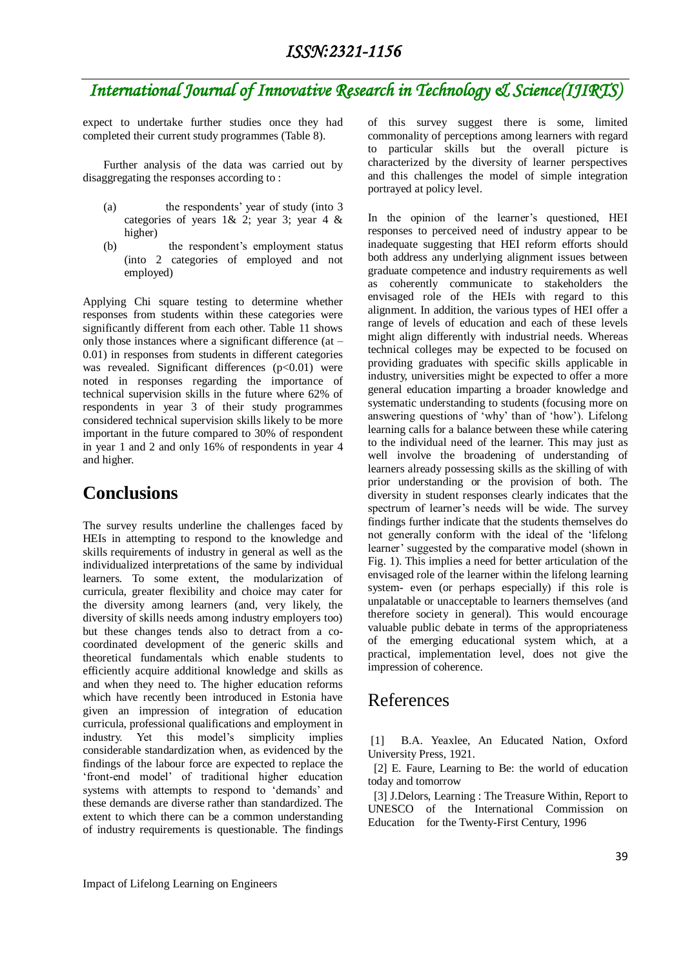expect to undertake further studies once they had completed their current study programmes (Table 8).

Further analysis of the data was carried out by disaggregating the responses according to :

- (a) the respondents" year of study (into 3 categories of years 1& 2; year 3; year 4 & higher)
- (b) the respondent"s employment status (into 2 categories of employed and not employed)

Applying Chi square testing to determine whether responses from students within these categories were significantly different from each other. Table 11 shows only those instances where a significant difference (at – 0.01) in responses from students in different categories was revealed. Significant differences  $(p<0.01)$  were noted in responses regarding the importance of technical supervision skills in the future where 62% of respondents in year 3 of their study programmes considered technical supervision skills likely to be more important in the future compared to 30% of respondent in year 1 and 2 and only 16% of respondents in year 4 and higher.

## **Conclusions**

The survey results underline the challenges faced by HEIs in attempting to respond to the knowledge and skills requirements of industry in general as well as the individualized interpretations of the same by individual learners. To some extent, the modularization of curricula, greater flexibility and choice may cater for the diversity among learners (and, very likely, the diversity of skills needs among industry employers too) but these changes tends also to detract from a cocoordinated development of the generic skills and theoretical fundamentals which enable students to efficiently acquire additional knowledge and skills as and when they need to. The higher education reforms which have recently been introduced in Estonia have given an impression of integration of education curricula, professional qualifications and employment in industry. Yet this model"s simplicity implies considerable standardization when, as evidenced by the findings of the labour force are expected to replace the "front-end model" of traditional higher education systems with attempts to respond to 'demands' and these demands are diverse rather than standardized. The extent to which there can be a common understanding of industry requirements is questionable. The findings of this survey suggest there is some, limited commonality of perceptions among learners with regard to particular skills but the overall picture is characterized by the diversity of learner perspectives and this challenges the model of simple integration portrayed at policy level.

In the opinion of the learner's questioned, HEI responses to perceived need of industry appear to be inadequate suggesting that HEI reform efforts should both address any underlying alignment issues between graduate competence and industry requirements as well as coherently communicate to stakeholders the envisaged role of the HEIs with regard to this alignment. In addition, the various types of HEI offer a range of levels of education and each of these levels might align differently with industrial needs. Whereas technical colleges may be expected to be focused on providing graduates with specific skills applicable in industry, universities might be expected to offer a more general education imparting a broader knowledge and systematic understanding to students (focusing more on answering questions of "why" than of "how"). Lifelong learning calls for a balance between these while catering to the individual need of the learner. This may just as well involve the broadening of understanding of learners already possessing skills as the skilling of with prior understanding or the provision of both. The diversity in student responses clearly indicates that the spectrum of learner's needs will be wide. The survey findings further indicate that the students themselves do not generally conform with the ideal of the "lifelong learner' suggested by the comparative model (shown in Fig. 1). This implies a need for better articulation of the envisaged role of the learner within the lifelong learning system- even (or perhaps especially) if this role is unpalatable or unacceptable to learners themselves (and therefore society in general). This would encourage valuable public debate in terms of the appropriateness of the emerging educational system which, at a practical, implementation level, does not give the impression of coherence.

### References

[1] B.A. Yeaxlee, An Educated Nation, Oxford University Press, 1921.

 [2] E. Faure, Learning to Be: the world of education today and tomorrow

 [3] J.Delors, Learning : The Treasure Within, Report to UNESCO of the International Commission on Education for the Twenty-First Century, 1996